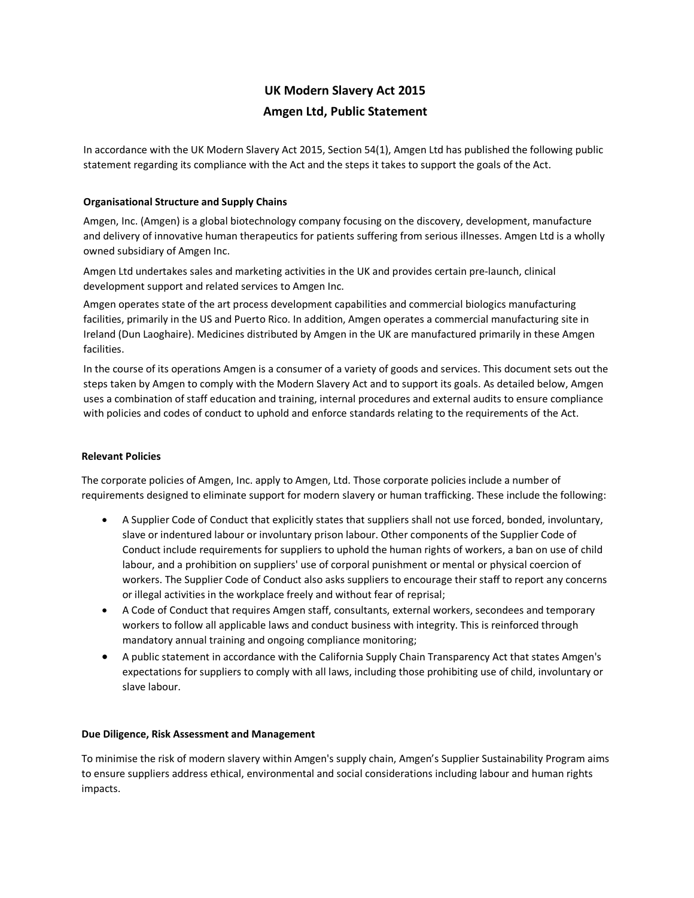# **UK Modern Slavery Act 2015 Amgen Ltd, Public Statement**

In accordance with the UK Modern Slavery Act 2015, Section 54(1), Amgen Ltd has published the following public statement regarding its compliance with the Act and the steps it takes to support the goals of the Act.

# **Organisational Structure and Supply Chains**

Amgen, Inc. (Amgen) is a global biotechnology company focusing on the discovery, development, manufacture and delivery of innovative human therapeutics for patients suffering from serious illnesses. Amgen Ltd is a wholly owned subsidiary of Amgen Inc.

Amgen Ltd undertakes sales and marketing activities in the UK and provides certain pre-launch, clinical development support and related services to Amgen Inc.

Amgen operates state of the art process development capabilities and commercial biologics manufacturing facilities, primarily in the US and Puerto Rico. In addition, Amgen operates a commercial manufacturing site in Ireland (Dun Laoghaire). Medicines distributed by Amgen in the UK are manufactured primarily in these Amgen facilities.

In the course of its operations Amgen is a consumer of a variety of goods and services. This document sets out the steps taken by Amgen to comply with the Modern Slavery Act and to support its goals. As detailed below, Amgen uses a combination of staff education and training, internal procedures and external audits to ensure compliance with policies and codes of conduct to uphold and enforce standards relating to the requirements of the Act.

# **Relevant Policies**

The corporate policies of Amgen, Inc. apply to Amgen, Ltd. Those corporate policies include a number of requirements designed to eliminate support for modern slavery or human trafficking. These include the following:

- A Supplier Code of Conduct that explicitly states that suppliers shall not use forced, bonded, involuntary, slave or indentured labour or involuntary prison labour. Other components of the Supplier Code of Conduct include requirements for suppliers to uphold the human rights of workers, a ban on use of child labour, and a prohibition on suppliers' use of corporal punishment or mental or physical coercion of workers. The Supplier Code of Conduct also asks suppliers to encourage their staff to report any concerns or illegal activities in the workplace freely and without fear of reprisal;
- A Code of Conduct that requires Amgen staff, consultants, external workers, secondees and temporary workers to follow all applicable laws and conduct business with integrity. This is reinforced through mandatory annual training and ongoing compliance monitoring;
- A public statement in accordance with the California Supply Chain Transparency Act that states Amgen's expectations for suppliers to comply with all laws, including those prohibiting use of child, involuntary or slave labour.

## **Due Diligence, Risk Assessment and Management**

To minimise the risk of modern slavery within Amgen's supply chain, Amgen's Supplier Sustainability Program aims to ensure suppliers address ethical, environmental and social considerations including labour and human rights impacts.